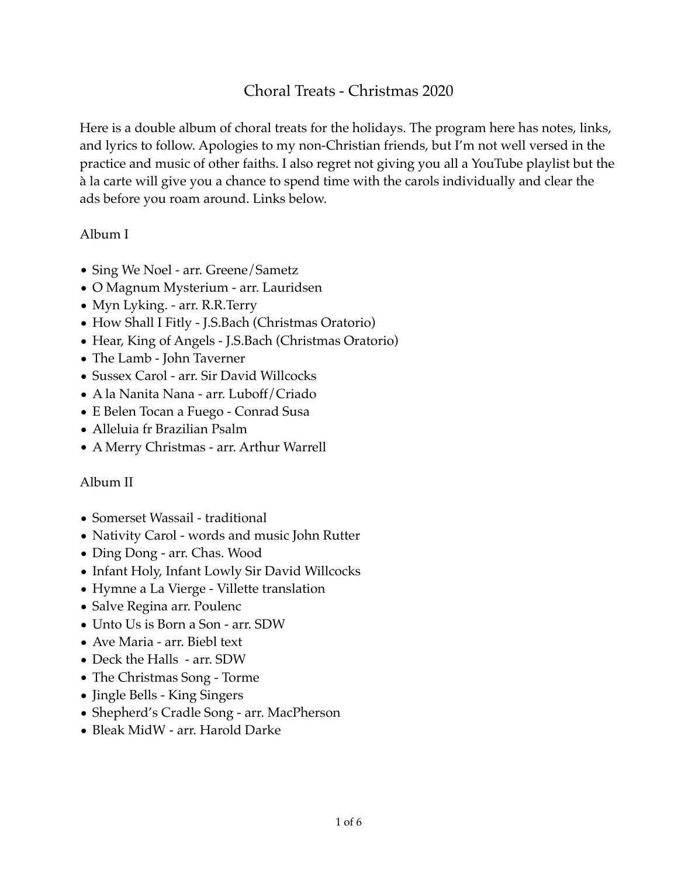# Choral Treats - Christmas 2020

Here is a double album of choral treats for the holidays. The program here has notes, links, and lyrics to follow. Apologies to my non-Christian friends, but I'm not well versed in the practice and music of other faiths. I also regret not giving you all a YouTube playlist but the à la carte will give you a chance to spend time with the carols individually and clear the ads before you roam around. Links below.

### Album I

- Sing We Noel arr. Greene/Sametz
- O Magnum Mysterium arr. Lauridsen
- Myn Lyking. arr. R.R.Terry
- How Shall I Fitly J.S.Bach (Christmas Oratorio)
- Hear, King of Angels J.S.Bach (Christmas Oratorio)
- The Lamb John Taverner
- Sussex Carol arr. Sir David Willcocks
- A la Nanita Nana arr. Luboff/Criado
- E Belen Tocan a Fuego Conrad Susa
- Alleluia fr Brazilian Psalm
- A Merry Christmas arr. Arthur Warrell

## Album II

- Somerset Wassail traditional
- Nativity Carol words and music John Rutter
- Ding Dong arr. Chas. Wood
- Infant Holy, Infant Lowly Sir David Willcocks
- Hymne a La Vierge Villette translation
- Salve Regina arr. Poulenc
- Unto Us is Born a Son arr. SDW
- Ave Maria arr. Biebl text
- Deck the Halls arr. SDW
- The Christmas Song Torme
- Jingle Bells King Singers
- Shepherd's Cradle Song arr. MacPherson
- Bleak MidW arr. Harold Darke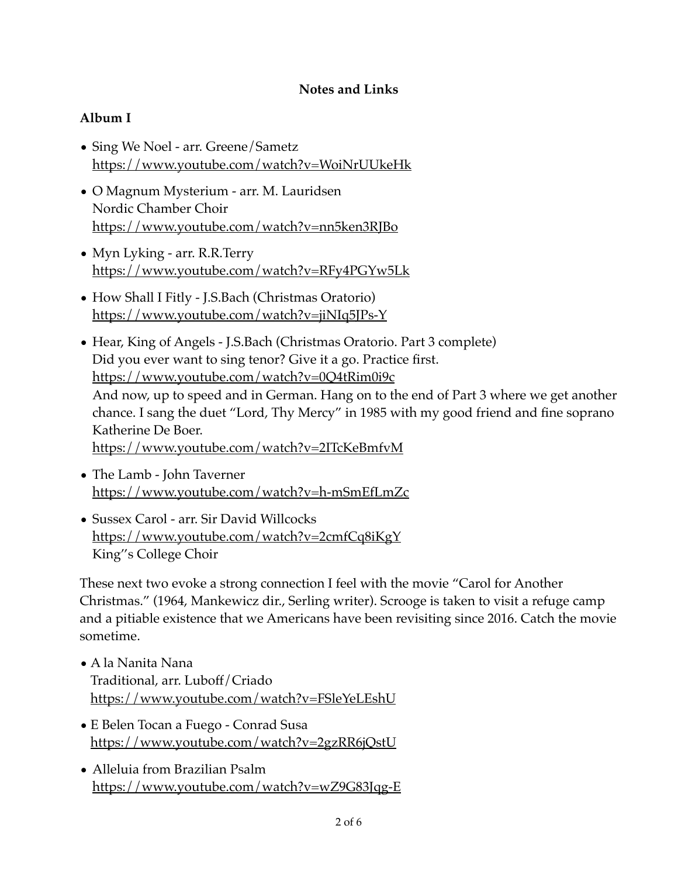### **Notes and Links**

## **Album I**

- Sing We Noel arr. Greene/Sametz <https://www.youtube.com/watch?v=WoiNrUUkeHk>
- O Magnum Mysterium arr. M. Lauridsen Nordic Chamber Choir <https://www.youtube.com/watch?v=nn5ken3RJBo>
- Myn Lyking arr. R.R.Terry <https://www.youtube.com/watch?v=RFy4PGYw5Lk>
- How Shall I Fitly J.S.Bach (Christmas Oratorio) <https://www.youtube.com/watch?v=jiNIq5JPs-Y>
- Hear, King of Angels J.S.Bach (Christmas Oratorio. Part 3 complete) Did you ever want to sing tenor? Give it a go. Practice first. <https://www.youtube.com/watch?v=0Q4tRim0i9c> And now, up to speed and in German. Hang on to the end of Part 3 where we get another chance. I sang the duet "Lord, Thy Mercy" in 1985 with my good friend and fine soprano Katherine De Boer. <https://www.youtube.com/watch?v=2ITcKeBmfvM>
- The Lamb John Taverner <https://www.youtube.com/watch?v=h-mSmEfLmZc>
- Sussex Carol arr. Sir David Willcocks <https://www.youtube.com/watch?v=2cmfCq8iKgY> King''s College Choir

These next two evoke a strong connection I feel with the movie "Carol for Another Christmas." (1964, Mankewicz dir., Serling writer). Scrooge is taken to visit a refuge camp and a pitiable existence that we Americans have been revisiting since 2016. Catch the movie sometime.

- A la Nanita Nana Traditional, arr. Luboff/Criado <https://www.youtube.com/watch?v=FSleYeLEshU>
- E Belen Tocan a Fuego Conrad Susa <https://www.youtube.com/watch?v=2gzRR6jQstU>
- Alleluia from Brazilian Psalm <https://www.youtube.com/watch?v=wZ9G83Jqg-E>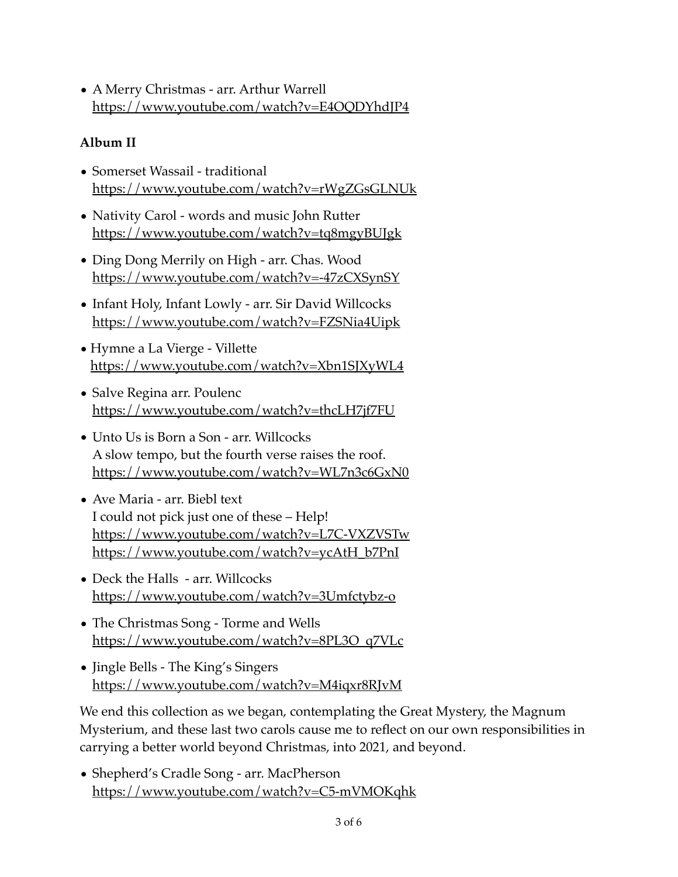• A Merry Christmas - arr. Arthur Warrell <https://www.youtube.com/watch?v=E4OQDYhdJP4>

# **Album II**

- Somerset Wassail traditional <https://www.youtube.com/watch?v=rWgZGsGLNUk>
- Nativity Carol words and music John Rutter <https://www.youtube.com/watch?v=tq8mgyBUJgk>
- Ding Dong Merrily on High arr. Chas. Wood <https://www.youtube.com/watch?v=-47zCXSynSY>
- Infant Holy, Infant Lowly arr. Sir David Willcocks <https://www.youtube.com/watch?v=FZSNia4Uipk>
- Hymne a La Vierge Villette <https://www.youtube.com/watch?v=Xbn1SJXyWL4>
- Salve Regina arr. Poulenc <https://www.youtube.com/watch?v=thcLH7jf7FU>
- Unto Us is Born a Son arr. Willcocks A slow tempo, but the fourth verse raises the roof. <https://www.youtube.com/watch?v=WL7n3c6GxN0>
- Ave Maria arr. Biebl text I could not pick just one of these – Help! <u><https://www.youtube.com/watch?v=L7C-VXZVSTw></u> <u>[https://www.youtube.com/watch?v=ycAtH\\_b7PnI](https://www.youtube.com/watch?v=ycAtH_b7PnI)</u>
- Deck the Halls arr. Willcocks <https://www.youtube.com/watch?v=3Umfctybz-o>
- The Christmas Song Torme and Wells [https://www.youtube.com/watch?v=8PL3O\\_q7VLc](https://www.youtube.com/watch?v=8PL3O_q7VLc)
- Jingle Bells The King's Singers <https://www.youtube.com/watch?v=M4iqxr8RJvM>

We end this collection as we began, contemplating the Great Mystery, the Magnum Mysterium, and these last two carols cause me to reflect on our own responsibilities in carrying a better world beyond Christmas, into 2021, and beyond.

• Shepherd's Cradle Song - arr. MacPherson <https://www.youtube.com/watch?v=C5-mVMOKqhk>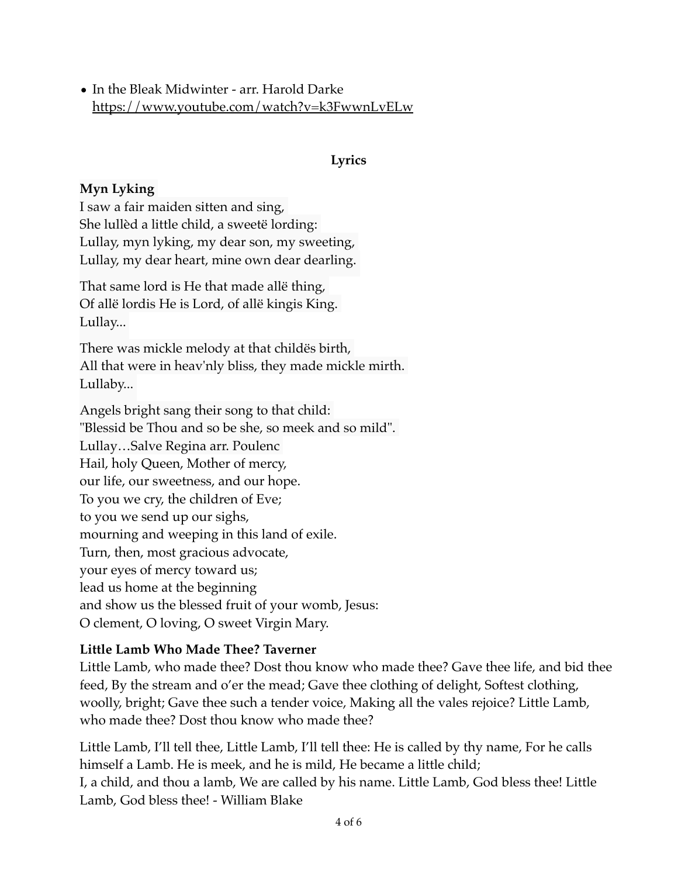• In the Bleak Midwinter - arr. Harold Darke <https://www.youtube.com/watch?v=k3FwwnLvELw>

### **Lyrics**

## **Myn Lyking**

I saw a fair maiden sitten and sing, She lullèd a little child, a sweetë lording: Lullay, myn lyking, my dear son, my sweeting, Lullay, my dear heart, mine own dear dearling.

That same lord is He that made allë thing, Of allë lordis He is Lord, of allë kingis King. Lullay...

There was mickle melody at that childës birth, All that were in heav'nly bliss, they made mickle mirth. Lullaby...

Angels bright sang their song to that child: "Blessid be Thou and so be she, so meek and so mild". Lullay…Salve Regina arr. Poulenc Hail, holy Queen, Mother of mercy, our life, our sweetness, and our hope. To you we cry, the children of Eve; to you we send up our sighs, mourning and weeping in this land of exile. Turn, then, most gracious advocate, your eyes of mercy toward us; lead us home at the beginning and show us the blessed fruit of your womb, Jesus: O clement, O loving, O sweet Virgin Mary.

### **Little Lamb Who Made Thee? Taverner**

Little Lamb, who made thee? Dost thou know who made thee? Gave thee life, and bid thee feed, By the stream and o'er the mead; Gave thee clothing of delight, Softest clothing, woolly, bright; Gave thee such a tender voice, Making all the vales rejoice? Little Lamb, who made thee? Dost thou know who made thee?

Little Lamb, I'll tell thee, Little Lamb, I'll tell thee: He is called by thy name, For he calls himself a Lamb. He is meek, and he is mild, He became a little child; I, a child, and thou a lamb, We are called by his name. Little Lamb, God bless thee! Little Lamb, God bless thee! - William Blake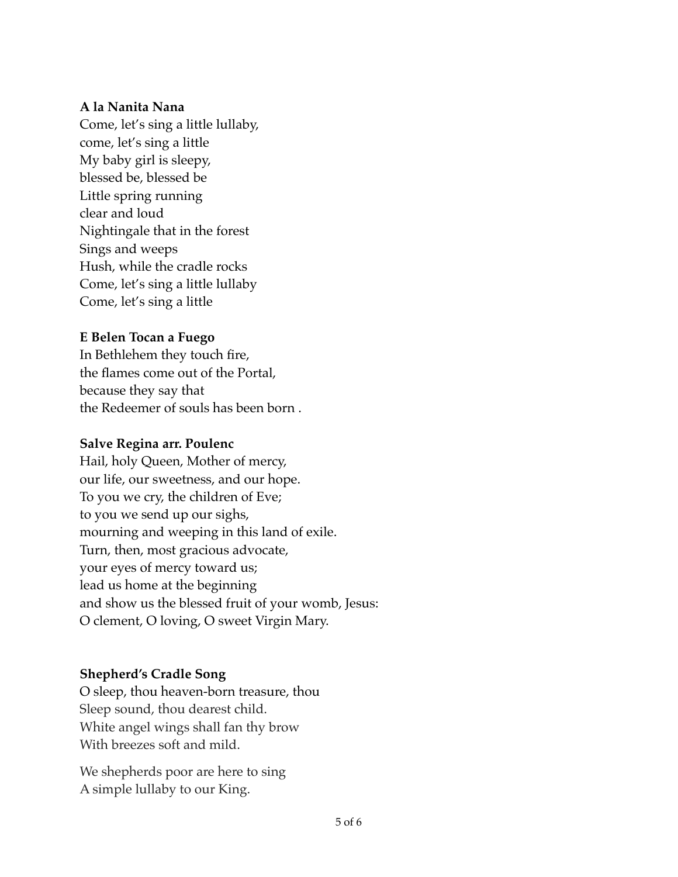#### **A la Nanita Nana**

Come, let's sing a little lullaby, come, let's sing a little My baby girl is sleepy, blessed be, blessed be Little spring running clear and loud Nightingale that in the forest Sings and weeps Hush, while the cradle rocks Come, let's sing a little lullaby Come, let's sing a little

### **E Belen Tocan a Fuego**

In Bethlehem they touch fire, the flames come out of the Portal, because they say that the Redeemer of souls has been born .

### **Salve Regina arr. Poulenc**

Hail, holy Queen, Mother of mercy, our life, our sweetness, and our hope. To you we cry, the children of Eve; to you we send up our sighs, mourning and weeping in this land of exile. Turn, then, most gracious advocate, your eyes of mercy toward us; lead us home at the beginning and show us the blessed fruit of your womb, Jesus: O clement, O loving, O sweet Virgin Mary.

### **Shepherd's Cradle Song**

O sleep, thou heaven-born treasure, thou Sleep sound, thou dearest child. White angel wings shall fan thy brow With breezes soft and mild.

We shepherds poor are here to sing A simple lullaby to our King.